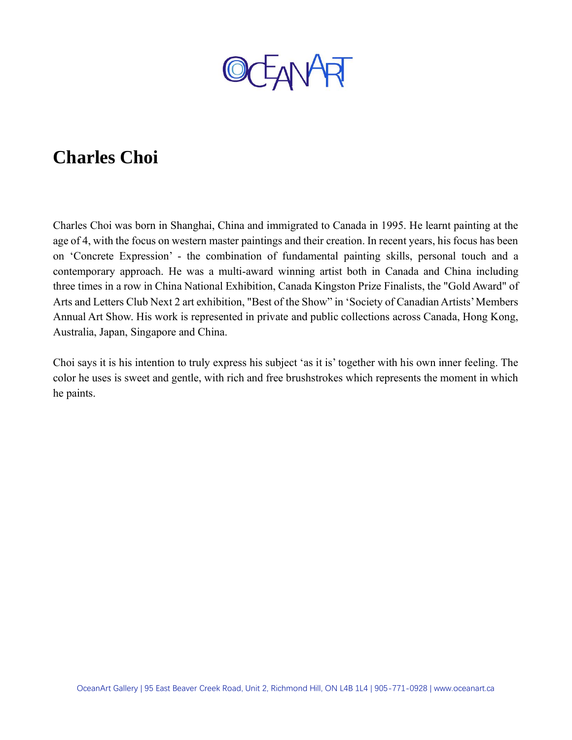

## **Charles Choi**

Charles Choi was born in Shanghai, China and immigrated to Canada in 1995. He learnt painting at the age of 4, with the focus on western master paintings and their creation. In recent years, his focus has been on 'Concrete Expression' - the combination of fundamental painting skills, personal touch and a contemporary approach. He was a multi-award winning artist both in Canada and China including three times in a row in China National Exhibition, Canada Kingston Prize Finalists, the "Gold Award" of Arts and Letters Club Next 2 art exhibition, "Best of the Show" in 'Society of Canadian Artists' Members Annual Art Show. His work is represented in private and public collections across Canada, Hong Kong, Australia, Japan, Singapore and China.

Choi says it is his intention to truly express his subject 'as it is' together with his own inner feeling. The color he uses is sweet and gentle, with rich and free brushstrokes which represents the moment in which he paints.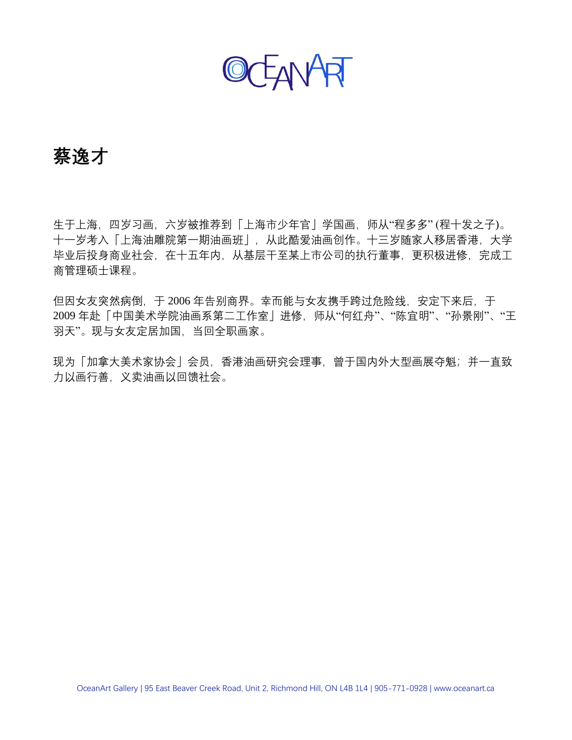OCEANART

### **蔡逸才**

生于上海,四岁习画,六岁被推荐到「上海市少年官」学国画,师从"程多多" (程十发之子)。 十一岁考入「上海油雕院第一期油画班」,从此酷爱油画创作。十三岁随家人移居香港,大学 毕业后投身商业社会,在十五年内,从基层干至某上市公司的执行董事,更积极进修,完成工 商管理硕士课程。

但因女友突然病倒,于 2006 年告别商界。幸而能与女友携手跨过危险线, 安定下来后, 于 2009 年赴「中国美术学院油画系第二工作室」进修,师从"何红舟"、"陈宜明"、"孙景刚"、"王 羽天"。现与女友定居加国,当回全职画家。

现为「加拿大美术家协会」会员,香港油画研究会理事,曾于国内外大型画展夺魁;并一直致 力以画行善,义卖油画以回馈社会。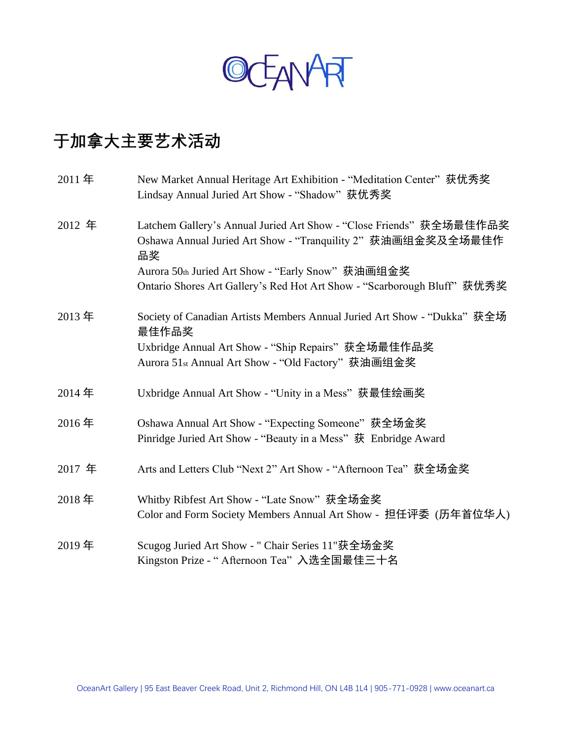

# **于加拿大主要艺术活动**

| 2011年  | New Market Annual Heritage Art Exhibition - "Meditation Center" 获优秀奖<br>Lindsay Annual Juried Art Show - "Shadow" 获优秀奖                                                                        |
|--------|-----------------------------------------------------------------------------------------------------------------------------------------------------------------------------------------------|
| 2012 年 | Latchem Gallery's Annual Juried Art Show - "Close Friends" 获全场最佳作品奖<br>Oshawa Annual Juried Art Show - "Tranquility 2" 获油画组金奖及全场最佳作<br>品奖                                                     |
|        | Aurora 50th Juried Art Show - "Early Snow" 获油画组金奖<br>Ontario Shores Art Gallery's Red Hot Art Show - "Scarborough Bluff" 获优秀奖                                                                 |
| 2013年  | Society of Canadian Artists Members Annual Juried Art Show - "Dukka" 获全场<br>最佳作品奖<br>Uxbridge Annual Art Show - "Ship Repairs" 获全场最佳作品奖<br>Aurora 51st Annual Art Show - "Old Factory" 获油画组金奖 |
| 2014年  | Uxbridge Annual Art Show - "Unity in a Mess" 获最佳绘画奖                                                                                                                                           |
| 2016年  | Oshawa Annual Art Show - "Expecting Someone" 获全场金奖<br>Pinridge Juried Art Show - "Beauty in a Mess" 获 Enbridge Award                                                                          |
| 2017 年 | Arts and Letters Club "Next 2" Art Show - "Afternoon Tea" 获全场金奖                                                                                                                               |
| 2018年  | Whitby Ribfest Art Show - "Late Snow" 获全场金奖<br>Color and Form Society Members Annual Art Show - 担任评委 (历年首位华人)                                                                                 |
| 2019年  | Scugog Juried Art Show - " Chair Series 11"获全场金奖<br>Kingston Prize - "Afternoon Tea"入选全国最佳三十名                                                                                                 |